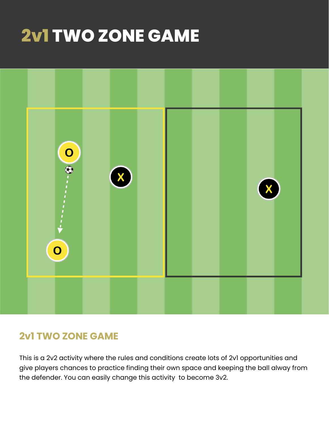# **2v1 TWO ZONE GAME**



### **2v1 TWO ZONE GAME**

This is a 2v2 activity where the rules and conditions create lots of 2v1 opportunities and give players chances to practice finding their own space and keeping the ball alway from the defender. You can easily change this activity to become 3v2.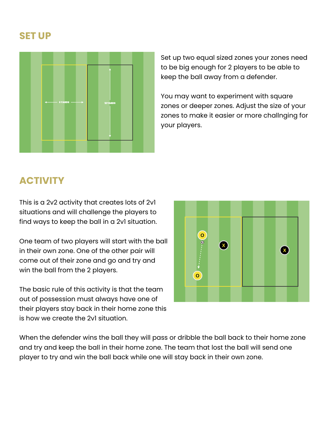#### **SET UP**



Set up two equal sized zones your zones need to be big enough for 2 players to be able to keep the ball away from a defender.

You may want to experiment with square zones or deeper zones. Adjust the size of your zones to make it easier or more challnging for your players.

## **ACTIVITY**

This is a 2v2 activity that creates lots of 2v1 situations and will challenge the players to find ways to keep the ball in a 2v1 situation.

One team of two players will start with the ball in their own zone. One of the other pair will come out of their zone and go and try and win the ball from the 2 players.

The basic rule of this activity is that the team out of possession must always have one of their players stay back in their home zone this is how we create the 2v1 situation.



When the defender wins the ball they will pass or dribble the ball back to their home zone and try and keep the ball in their home zone. The team that lost the ball will send one player to try and win the ball back while one will stay back in their own zone.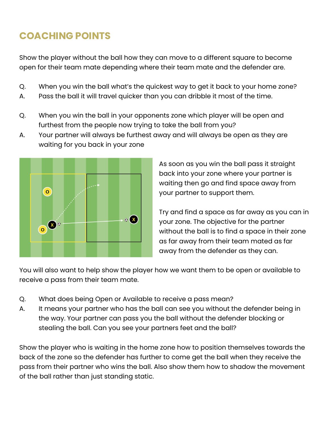# **COACHING POINTS**

Show the player without the ball how they can move to a different square to become open for their team mate depending where their team mate and the defender are.

- Q. When you win the ball what's the quickest way to get it back to your home zone?
- A. Pass the ball it will travel quicker than you can dribble it most of the time.
- Q. When you win the ball in your opponents zone which player will be open and furthest from the people now trying to take the ball from you?
- A. Your partner will always be furthest away and will always be open as they are waiting for you back in your zone



As soon as you win the ball pass it straight back into your zone where your partner is waiting then go and find space away from your partner to support them.

Try and find a space as far away as you can in your zone. The objective for the partner without the ball is to find a space in their zone as far away from their team mated as far away from the defender as they can.

You will also want to help show the player how we want them to be open or available to receive a pass from their team mate.

- Q. What does being Open or Available to receive a pass mean?
- A. It means your partner who has the ball can see you without the defender being in the way. Your partner can pass you the ball without the defender blocking or stealing the ball. Can you see your partners feet and the ball?

Show the player who is waiting in the home zone how to position themselves towards the back of the zone so the defender has further to come get the ball when they receive the pass from their partner who wins the ball. Also show them how to shadow the movement of the ball rather than just standing static.